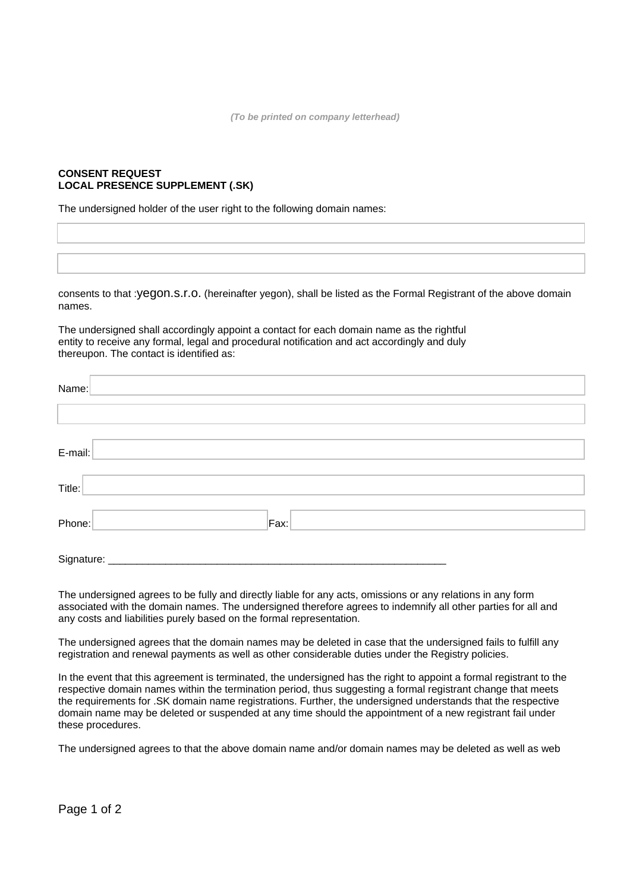**(To be printed on company letterhead)** 

## **CONSENT REQUEST LOCAL PRESENCE SUPPLEMENT (.SK)**

The undersigned holder of the user right to the following domain names:

consents to that :yegon.s.r.o. (hereinafter yegon), shall be listed as the Formal Registrant of the above domain names.

The undersigned shall accordingly appoint a contact for each domain name as the rightful entity to receive any formal, legal and procedural notification and act accordingly and duly thereupon. The contact is identified as:

| Name:                   |      |  |
|-------------------------|------|--|
|                         |      |  |
| E-mail:                 |      |  |
| Title:                  |      |  |
| Phone:                  | Fax: |  |
| Signature: ____________ |      |  |

The undersigned agrees to be fully and directly liable for any acts, omissions or any relations in any form associated with the domain names. The undersigned therefore agrees to indemnify all other parties for all and any costs and liabilities purely based on the formal representation.

The undersigned agrees that the domain names may be deleted in case that the undersigned fails to fulfill any registration and renewal payments as well as other considerable duties under the Registry policies.

In the event that this agreement is terminated, the undersigned has the right to appoint a formal registrant to the respective domain names within the termination period, thus suggesting a formal registrant change that meets the requirements for .SK domain name registrations. Further, the undersigned understands that the respective domain name may be deleted or suspended at any time should the appointment of a new registrant fail under these procedures.

The undersigned agrees to that the above domain name and/or domain names may be deleted as well as web